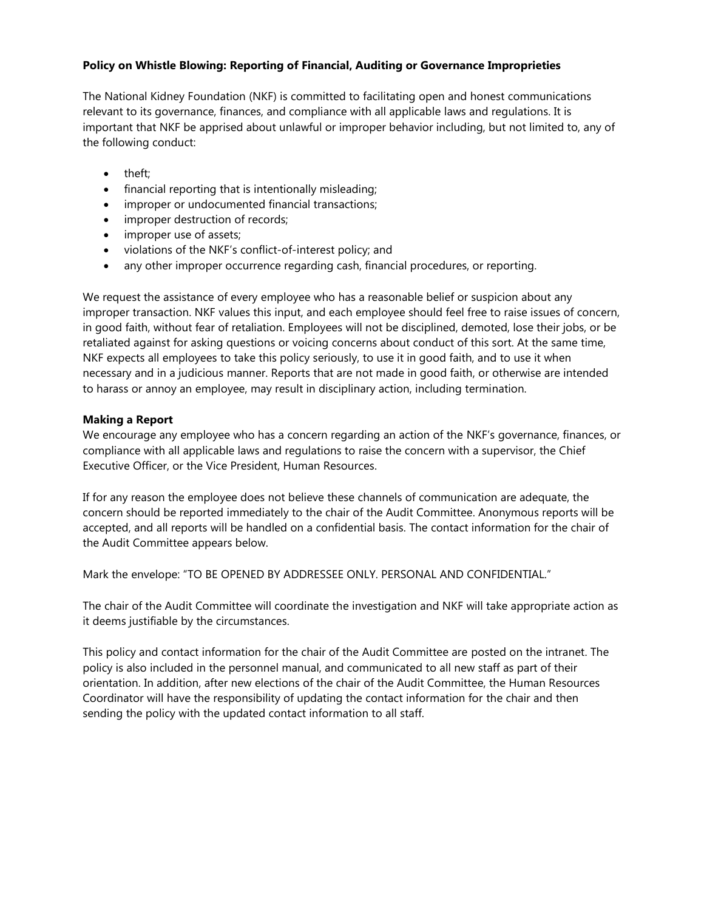## **Policy on Whistle Blowing: Reporting of Financial, Auditing or Governance Improprieties**

The National Kidney Foundation (NKF) is committed to facilitating open and honest communications relevant to its governance, finances, and compliance with all applicable laws and regulations. It is important that NKF be apprised about unlawful or improper behavior including, but not limited to, any of the following conduct:

- theft:
- financial reporting that is intentionally misleading;
- improper or undocumented financial transactions;
- improper destruction of records;
- improper use of assets;
- violations of the NKF's conflict-of-interest policy; and
- any other improper occurrence regarding cash, financial procedures, or reporting.

We request the assistance of every employee who has a reasonable belief or suspicion about any improper transaction. NKF values this input, and each employee should feel free to raise issues of concern, in good faith, without fear of retaliation. Employees will not be disciplined, demoted, lose their jobs, or be retaliated against for asking questions or voicing concerns about conduct of this sort. At the same time, NKF expects all employees to take this policy seriously, to use it in good faith, and to use it when necessary and in a judicious manner. Reports that are not made in good faith, or otherwise are intended to harass or annoy an employee, may result in disciplinary action, including termination.

## **Making a Report**

We encourage any employee who has a concern regarding an action of the NKF's governance, finances, or compliance with all applicable laws and regulations to raise the concern with a supervisor, the Chief Executive Officer, or the Vice President, Human Resources.

If for any reason the employee does not believe these channels of communication are adequate, the concern should be reported immediately to the chair of the Audit Committee. Anonymous reports will be accepted, and all reports will be handled on a confidential basis. The contact information for the chair of the Audit Committee appears below.

Mark the envelope: "TO BE OPENED BY ADDRESSEE ONLY. PERSONAL AND CONFIDENTIAL."

The chair of the Audit Committee will coordinate the investigation and NKF will take appropriate action as it deems justifiable by the circumstances.

This policy and contact information for the chair of the Audit Committee are posted on the intranet. The policy is also included in the personnel manual, and communicated to all new staff as part of their orientation. In addition, after new elections of the chair of the Audit Committee, the Human Resources Coordinator will have the responsibility of updating the contact information for the chair and then sending the policy with the updated contact information to all staff.